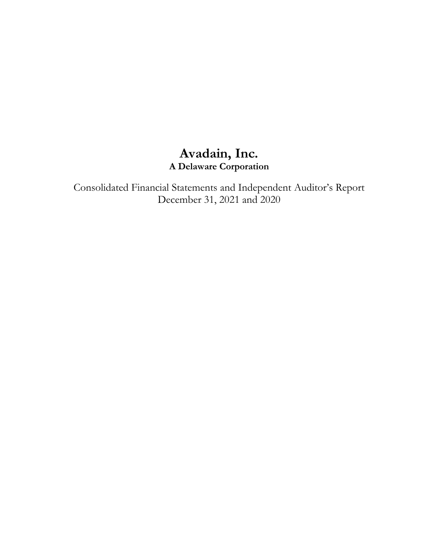# **Avadain, Inc. A Delaware Corporation**

Consolidated Financial Statements and Independent Auditor's Report December 31, 2021 and 2020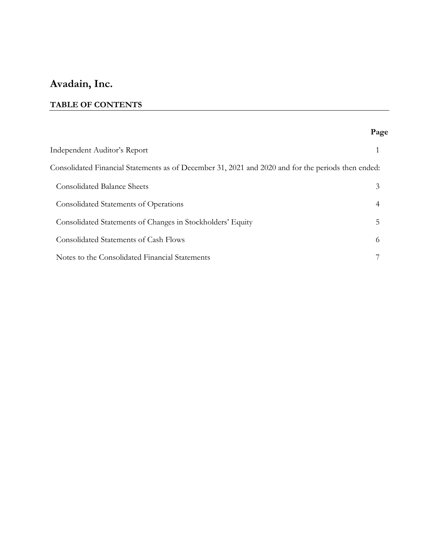# **Avadain, Inc.**

# **TABLE OF CONTENTS**

|                                                                                                    | Page |
|----------------------------------------------------------------------------------------------------|------|
| Independent Auditor's Report                                                                       | 1    |
| Consolidated Financial Statements as of December 31, 2021 and 2020 and for the periods then ended: |      |
| <b>Consolidated Balance Sheets</b>                                                                 | 3    |
| Consolidated Statements of Operations                                                              | 4    |
| Consolidated Statements of Changes in Stockholders' Equity                                         | 5    |
| Consolidated Statements of Cash Flows                                                              | 6    |
| Notes to the Consolidated Financial Statements                                                     |      |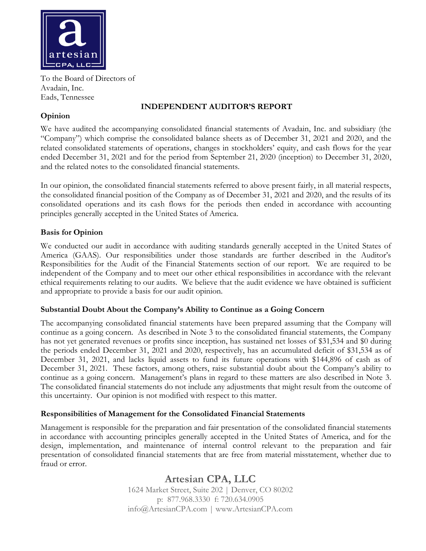

To the Board of Directors of Avadain, Inc. Eads, Tennessee

## **INDEPENDENT AUDITOR'S REPORT**

# **Opinion**

We have audited the accompanying consolidated financial statements of Avadain, Inc. and subsidiary (the "Company") which comprise the consolidated balance sheets as of December 31, 2021 and 2020, and the related consolidated statements of operations, changes in stockholders' equity, and cash flows for the year ended December 31, 2021 and for the period from September 21, 2020 (inception) to December 31, 2020, and the related notes to the consolidated financial statements.

In our opinion, the consolidated financial statements referred to above present fairly, in all material respects, the consolidated financial position of the Company as of December 31, 2021 and 2020, and the results of its consolidated operations and its cash flows for the periods then ended in accordance with accounting principles generally accepted in the United States of America.

# **Basis for Opinion**

We conducted our audit in accordance with auditing standards generally accepted in the United States of America (GAAS). Our responsibilities under those standards are further described in the Auditor's Responsibilities for the Audit of the Financial Statements section of our report. We are required to be independent of the Company and to meet our other ethical responsibilities in accordance with the relevant ethical requirements relating to our audits. We believe that the audit evidence we have obtained is sufficient and appropriate to provide a basis for our audit opinion.

## **Substantial Doubt About the Company's Ability to Continue as a Going Concern**

The accompanying consolidated financial statements have been prepared assuming that the Company will continue as a going concern. As described in Note 3 to the consolidated financial statements, the Company has not yet generated revenues or profits since inception, has sustained net losses of \$31,534 and \$0 during the periods ended December 31, 2021 and 2020, respectively, has an accumulated deficit of \$31,534 as of December 31, 2021, and lacks liquid assets to fund its future operations with \$144,896 of cash as of December 31, 2021. These factors, among others, raise substantial doubt about the Company's ability to continue as a going concern. Management's plans in regard to these matters are also described in Note 3. The consolidated financial statements do not include any adjustments that might result from the outcome of this uncertainty. Our opinion is not modified with respect to this matter.

## **Responsibilities of Management for the Consolidated Financial Statements**

Management is responsible for the preparation and fair presentation of the consolidated financial statements in accordance with accounting principles generally accepted in the United States of America, and for the design, implementation, and maintenance of internal control relevant to the preparation and fair presentation of consolidated financial statements that are free from material misstatement, whether due to fraud or error.

> **Artesian CPA, LLC** 1624 Market Street, Suite 202 | Denver, CO 80202 p: 877.968.3330 f: 720.634.0905 info@ArtesianCPA.com | www.ArtesianCPA.com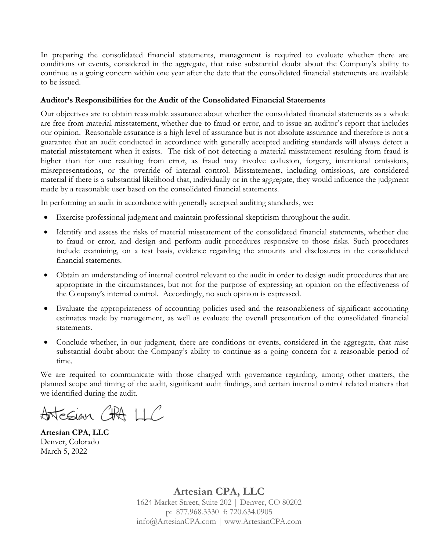In preparing the consolidated financial statements, management is required to evaluate whether there are conditions or events, considered in the aggregate, that raise substantial doubt about the Company's ability to continue as a going concern within one year after the date that the consolidated financial statements are available to be issued.

## **Auditor's Responsibilities for the Audit of the Consolidated Financial Statements**

Our objectives are to obtain reasonable assurance about whether the consolidated financial statements as a whole are free from material misstatement, whether due to fraud or error, and to issue an auditor's report that includes our opinion. Reasonable assurance is a high level of assurance but is not absolute assurance and therefore is not a guarantee that an audit conducted in accordance with generally accepted auditing standards will always detect a material misstatement when it exists. The risk of not detecting a material misstatement resulting from fraud is higher than for one resulting from error, as fraud may involve collusion, forgery, intentional omissions, misrepresentations, or the override of internal control. Misstatements, including omissions, are considered material if there is a substantial likelihood that, individually or in the aggregate, they would influence the judgment made by a reasonable user based on the consolidated financial statements.

In performing an audit in accordance with generally accepted auditing standards, we:

- Exercise professional judgment and maintain professional skepticism throughout the audit.
- Identify and assess the risks of material misstatement of the consolidated financial statements, whether due to fraud or error, and design and perform audit procedures responsive to those risks. Such procedures include examining, on a test basis, evidence regarding the amounts and disclosures in the consolidated financial statements.
- Obtain an understanding of internal control relevant to the audit in order to design audit procedures that are appropriate in the circumstances, but not for the purpose of expressing an opinion on the effectiveness of the Company's internal control. Accordingly, no such opinion is expressed.
- Evaluate the appropriateness of accounting policies used and the reasonableness of significant accounting estimates made by management, as well as evaluate the overall presentation of the consolidated financial statements.
- Conclude whether, in our judgment, there are conditions or events, considered in the aggregate, that raise substantial doubt about the Company's ability to continue as a going concern for a reasonable period of time.

We are required to communicate with those charged with governance regarding, among other matters, the planned scope and timing of the audit, significant audit findings, and certain internal control related matters that we identified during the audit.

Antesian CAA LLC

**Artesian CPA, LLC**  Denver, Colorado March 5, 2022

**Artesian CPA, LLC** 1624 Market Street, Suite 202 | Denver, CO 80202 p: 877.968.3330 f: 720.634.0905 info@ArtesianCPA.com | www.ArtesianCPA.com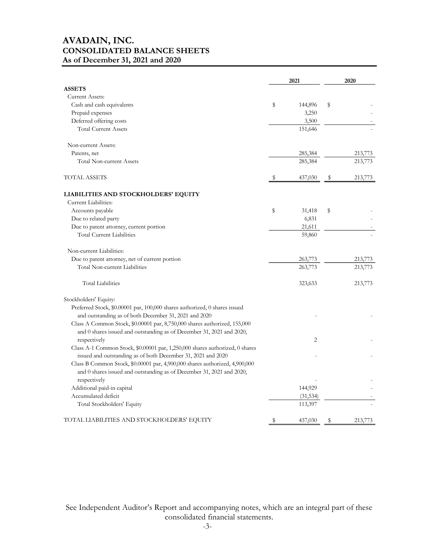# **AVADAIN, INC. CONSOLIDATED BALANCE SHEETS As of December 31, 2021 and 2020**

|                                                                                       |    | 2021           |    | 2020    |  |  |
|---------------------------------------------------------------------------------------|----|----------------|----|---------|--|--|
| <b>ASSETS</b>                                                                         |    |                |    |         |  |  |
| Current Assets:                                                                       |    |                |    |         |  |  |
| Cash and cash equivalents                                                             | \$ | 144,896        | \$ |         |  |  |
| Prepaid expenses                                                                      |    | 3,250          |    |         |  |  |
| Deferred offering costs                                                               |    | 3,500          |    |         |  |  |
| <b>Total Current Assets</b>                                                           |    | 151,646        |    |         |  |  |
| Non-current Assets:                                                                   |    |                |    |         |  |  |
| Patents, net                                                                          |    | 285,384        |    | 213,773 |  |  |
| <b>Total Non-current Assets</b>                                                       |    | 285,384        |    | 213,773 |  |  |
| TOTAL ASSETS                                                                          | S  | 437,030        | \$ | 213,773 |  |  |
| LIABILITIES AND STOCKHOLDERS' EQUITY                                                  |    |                |    |         |  |  |
| Current Liabilities:                                                                  |    |                |    |         |  |  |
| Accounts payable                                                                      | \$ | 31,418         | \$ |         |  |  |
| Due to related party                                                                  |    | 6,831          |    |         |  |  |
| Due to patent attorney, current portion                                               |    | 21,611         |    |         |  |  |
| <b>Total Current Liabilities</b>                                                      |    | 59,860         |    |         |  |  |
| Non-current Liabilities:                                                              |    |                |    |         |  |  |
| Due to patent attorney, net of current portion                                        |    | 263,773        |    | 213,773 |  |  |
| Total Non-current Liabilities                                                         |    | 263,773        |    | 213,773 |  |  |
| <b>Total Liabilities</b>                                                              |    | 323,633        |    | 213,773 |  |  |
| Stockholders' Equity:                                                                 |    |                |    |         |  |  |
| Preferred Stock, \$0.00001 par, 100,000 shares authorized, 0 shares issued            |    |                |    |         |  |  |
| and outstanding as of both December 31, 2021 and 2020                                 |    |                |    |         |  |  |
| Class A Common Stock, \$0.00001 par, 8,750,000 shares authorized, 155,000             |    |                |    |         |  |  |
| and 0 shares issued and outstanding as of December 31, 2021 and 2020,<br>respectively |    | $\overline{2}$ |    |         |  |  |
| Class A-1 Common Stock, \$0.00001 par, 1,250,000 shares authorized, 0 shares          |    |                |    |         |  |  |
| issued and outstanding as of both December 31, 2021 and 2020                          |    |                |    |         |  |  |
| Class B Common Stock, \$0.00001 par, 4,900,000 shares authorized, 4,900,000           |    |                |    |         |  |  |
| and 0 shares issued and outstanding as of December 31, 2021 and 2020,<br>respectively |    |                |    |         |  |  |
| Additional paid-in capital                                                            |    | 144,929        |    |         |  |  |
| Accumulated deficit                                                                   |    | (31, 534)      |    |         |  |  |
| Total Stockholders' Equity                                                            |    | 113,397        |    |         |  |  |
| TOTAL LIABILITIES AND STOCKHOLDERS' EQUITY                                            | \$ | 437,030        | \$ | 213,773 |  |  |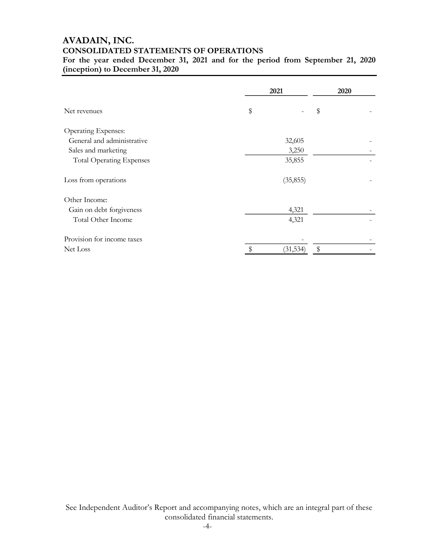# **AVADAIN, INC. CONSOLIDATED STATEMENTS OF OPERATIONS**

**For the year ended December 31, 2021 and for the period from September 21, 2020 (inception) to December 31, 2020**

|                                 | 2021 |           |    | 2020 |  |  |  |  |
|---------------------------------|------|-----------|----|------|--|--|--|--|
| Net revenues                    | \$   |           | \$ |      |  |  |  |  |
| Operating Expenses:             |      |           |    |      |  |  |  |  |
| General and administrative      |      | 32,605    |    |      |  |  |  |  |
| Sales and marketing             |      |           |    |      |  |  |  |  |
| <b>Total Operating Expenses</b> |      | 35,855    |    |      |  |  |  |  |
| Loss from operations            |      | (35, 855) |    |      |  |  |  |  |
| Other Income:                   |      |           |    |      |  |  |  |  |
| Gain on debt forgiveness        |      | 4,321     |    |      |  |  |  |  |
| Total Other Income              |      | 4,321     |    |      |  |  |  |  |
| Provision for income taxes      |      |           |    |      |  |  |  |  |
| Net Loss                        |      | (31, 534) |    |      |  |  |  |  |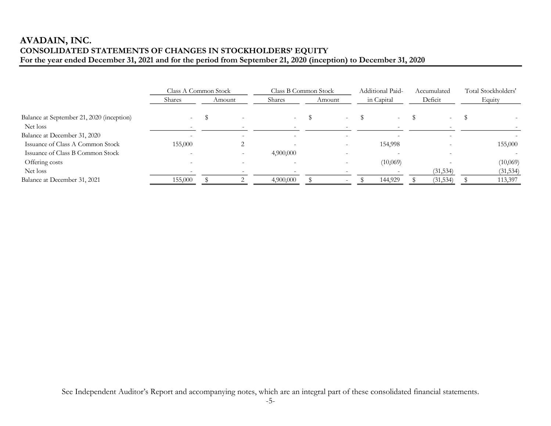# **AVADAIN, INC. CONSOLIDATED STATEMENTS OF CHANGES IN STOCKHOLDERS' EQUITY For the year ended December 31, 2021 and for the period from September 21, 2020 (inception) to December 31, 2020**

|                                           | Class A Common Stock |        |                          | Class B Common Stock |        | Additional Paid-         | Accumulated              | Total Stockholders' |
|-------------------------------------------|----------------------|--------|--------------------------|----------------------|--------|--------------------------|--------------------------|---------------------|
|                                           | Shares               | Amount |                          | Shares               | Amount | in Capital               | Deficit                  | Equity              |
| Balance at September 21, 2020 (inception) | $\sim$               |        |                          | $\sim$               | $\sim$ | $\overline{\phantom{0}}$ | $\overline{\phantom{0}}$ |                     |
| Net loss                                  |                      |        |                          |                      |        |                          |                          |                     |
| Balance at December 31, 2020              |                      |        | -                        |                      |        |                          |                          |                     |
| Issuance of Class A Common Stock          | 155,000              |        |                          |                      |        | 154,998                  |                          | 155,000             |
| Issuance of Class B Common Stock          |                      |        | $\overline{\phantom{a}}$ | 4,900,000            |        |                          |                          |                     |
| Offering costs                            |                      |        | -                        |                      |        | (10,069)                 |                          | (10,069)            |
| Net loss                                  |                      |        |                          |                      |        |                          | (31, 534)                | (31, 534)           |
| Balance at December 31, 2021              | 155,000              |        |                          | 4,900,000            |        | 144,929                  | (31, 534)                | 113,397             |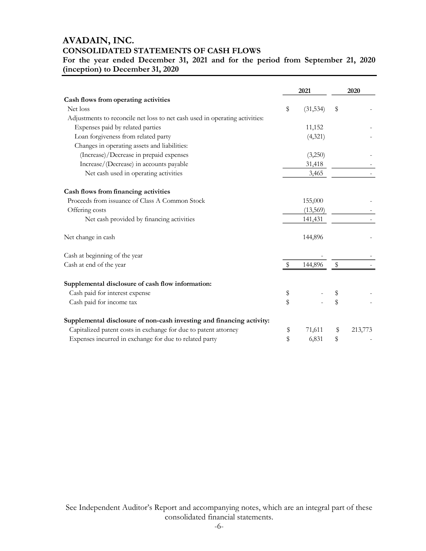# **AVADAIN, INC. CONSOLIDATED STATEMENTS OF CASH FLOWS**

## **For the year ended December 31, 2021 and for the period from September 21, 2020 (inception) to December 31, 2020**

|                                                                             |       | 2021      | 2020          |
|-----------------------------------------------------------------------------|-------|-----------|---------------|
| Cash flows from operating activities                                        |       |           |               |
| Net loss                                                                    | \$    | (31, 534) | \$            |
| Adjustments to reconcile net loss to net cash used in operating activities: |       |           |               |
| Expenses paid by related parties                                            |       | 11,152    |               |
| Loan forgiveness from related party                                         |       | (4,321)   |               |
| Changes in operating assets and liabilities:                                |       |           |               |
| (Increase)/Decrease in prepaid expenses                                     |       | (3,250)   |               |
| Increase/(Decrease) in accounts payable                                     |       | 31,418    |               |
| Net cash used in operating activities                                       |       | 3,465     |               |
| Cash flows from financing activities                                        |       |           |               |
| Proceeds from issuance of Class A Common Stock                              |       | 155,000   |               |
| Offering costs                                                              |       | (13,569)  |               |
| Net cash provided by financing activities                                   |       | 141,431   |               |
| Net change in cash                                                          |       | 144,896   |               |
| Cash at beginning of the year                                               |       |           |               |
| Cash at end of the year                                                     | $\$\$ | 144,896   | \$            |
| Supplemental disclosure of cash flow information:                           |       |           |               |
| Cash paid for interest expense                                              | \$    |           | \$            |
| Cash paid for income tax                                                    | \$    |           | \$            |
| Supplemental disclosure of non-cash investing and financing activity:       |       |           |               |
| Capitalized patent costs in exchange for due to patent attorney             | \$    | 71,611    | \$<br>213,773 |
| Expenses incurred in exchange for due to related party                      | \$    | 6,831     | \$            |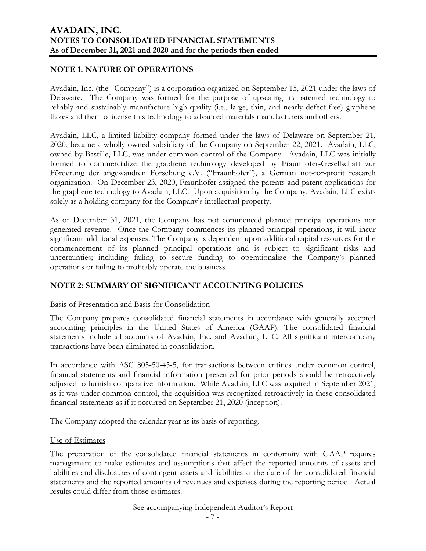## **NOTE 1: NATURE OF OPERATIONS**

Avadain, Inc. (the "Company") is a corporation organized on September 15, 2021 under the laws of Delaware. The Company was formed for the purpose of upscaling its patented technology to reliably and sustainably manufacture high-quality (i.e., large, thin, and nearly defect-free) graphene flakes and then to license this technology to advanced materials manufacturers and others.

Avadain, LLC, a limited liability company formed under the laws of Delaware on September 21, 2020, became a wholly owned subsidiary of the Company on September 22, 2021. Avadain, LLC, owned by Bastille, LLC, was under common control of the Company. Avadain, LLC was initially formed to commercialize the graphene technology developed by Fraunhofer-Gesellschaft zur Förderung der angewandten Forschung e.V. ("Fraunhofer"), a German not-for-profit research organization. On December 23, 2020, Fraunhofer assigned the patents and patent applications for the graphene technology to Avadain, LLC. Upon acquisition by the Company, Avadain, LLC exists solely as a holding company for the Company's intellectual property.

As of December 31, 2021, the Company has not commenced planned principal operations nor generated revenue. Once the Company commences its planned principal operations, it will incur significant additional expenses. The Company is dependent upon additional capital resources for the commencement of its planned principal operations and is subject to significant risks and uncertainties; including failing to secure funding to operationalize the Company's planned operations or failing to profitably operate the business.

## **NOTE 2: SUMMARY OF SIGNIFICANT ACCOUNTING POLICIES**

#### Basis of Presentation and Basis for Consolidation

The Company prepares consolidated financial statements in accordance with generally accepted accounting principles in the United States of America (GAAP). The consolidated financial statements include all accounts of Avadain, Inc. and Avadain, LLC. All significant intercompany transactions have been eliminated in consolidation.

In accordance with ASC 805-50-45-5, for transactions between entities under common control, financial statements and financial information presented for prior periods should be retroactively adjusted to furnish comparative information. While Avadain, LLC was acquired in September 2021, as it was under common control, the acquisition was recognized retroactively in these consolidated financial statements as if it occurred on September 21, 2020 (inception).

The Company adopted the calendar year as its basis of reporting.

#### Use of Estimates

The preparation of the consolidated financial statements in conformity with GAAP requires management to make estimates and assumptions that affect the reported amounts of assets and liabilities and disclosures of contingent assets and liabilities at the date of the consolidated financial statements and the reported amounts of revenues and expenses during the reporting period. Actual results could differ from those estimates.

See accompanying Independent Auditor's Report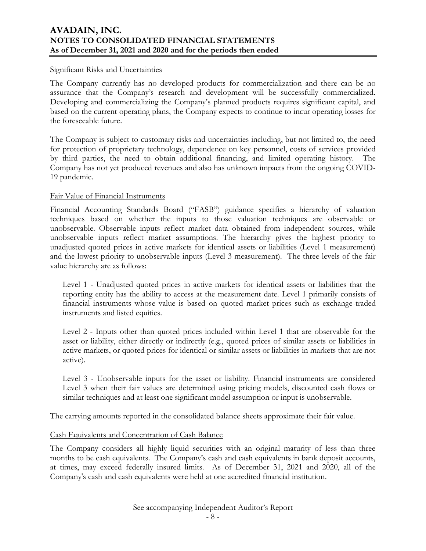#### Significant Risks and Uncertainties

The Company currently has no developed products for commercialization and there can be no assurance that the Company's research and development will be successfully commercialized. Developing and commercializing the Company's planned products requires significant capital, and based on the current operating plans, the Company expects to continue to incur operating losses for the foreseeable future.

The Company is subject to customary risks and uncertainties including, but not limited to, the need for protection of proprietary technology, dependence on key personnel, costs of services provided by third parties, the need to obtain additional financing, and limited operating history. The Company has not yet produced revenues and also has unknown impacts from the ongoing COVID-19 pandemic.

#### Fair Value of Financial Instruments

Financial Accounting Standards Board ("FASB") guidance specifies a hierarchy of valuation techniques based on whether the inputs to those valuation techniques are observable or unobservable. Observable inputs reflect market data obtained from independent sources, while unobservable inputs reflect market assumptions. The hierarchy gives the highest priority to unadjusted quoted prices in active markets for identical assets or liabilities (Level 1 measurement) and the lowest priority to unobservable inputs (Level 3 measurement). The three levels of the fair value hierarchy are as follows:

Level 1 - Unadjusted quoted prices in active markets for identical assets or liabilities that the reporting entity has the ability to access at the measurement date. Level 1 primarily consists of financial instruments whose value is based on quoted market prices such as exchange-traded instruments and listed equities.

Level 2 - Inputs other than quoted prices included within Level 1 that are observable for the asset or liability, either directly or indirectly (e.g., quoted prices of similar assets or liabilities in active markets, or quoted prices for identical or similar assets or liabilities in markets that are not active).

Level 3 - Unobservable inputs for the asset or liability. Financial instruments are considered Level 3 when their fair values are determined using pricing models, discounted cash flows or similar techniques and at least one significant model assumption or input is unobservable.

The carrying amounts reported in the consolidated balance sheets approximate their fair value.

Cash Equivalents and Concentration of Cash Balance

The Company considers all highly liquid securities with an original maturity of less than three months to be cash equivalents. The Company's cash and cash equivalents in bank deposit accounts, at times, may exceed federally insured limits. As of December 31, 2021 and 2020, all of the Company's cash and cash equivalents were held at one accredited financial institution.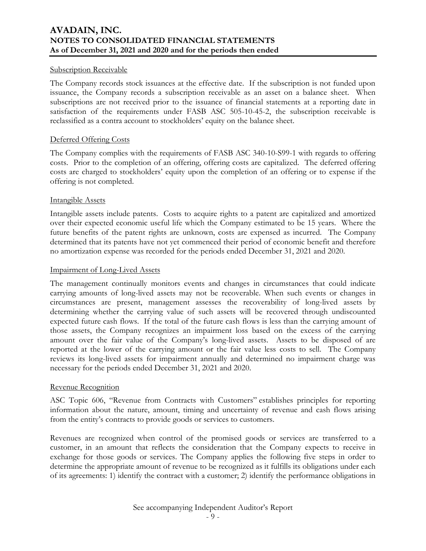#### Subscription Receivable

The Company records stock issuances at the effective date. If the subscription is not funded upon issuance, the Company records a subscription receivable as an asset on a balance sheet. When subscriptions are not received prior to the issuance of financial statements at a reporting date in satisfaction of the requirements under FASB ASC 505-10-45-2, the subscription receivable is reclassified as a contra account to stockholders' equity on the balance sheet.

## Deferred Offering Costs

The Company complies with the requirements of FASB ASC 340-10-S99-1 with regards to offering costs. Prior to the completion of an offering, offering costs are capitalized. The deferred offering costs are charged to stockholders' equity upon the completion of an offering or to expense if the offering is not completed.

#### Intangible Assets

Intangible assets include patents. Costs to acquire rights to a patent are capitalized and amortized over their expected economic useful life which the Company estimated to be 15 years. Where the future benefits of the patent rights are unknown, costs are expensed as incurred. The Company determined that its patents have not yet commenced their period of economic benefit and therefore no amortization expense was recorded for the periods ended December 31, 2021 and 2020.

## Impairment of Long-Lived Assets

The management continually monitors events and changes in circumstances that could indicate carrying amounts of long-lived assets may not be recoverable. When such events or changes in circumstances are present, management assesses the recoverability of long-lived assets by determining whether the carrying value of such assets will be recovered through undiscounted expected future cash flows. If the total of the future cash flows is less than the carrying amount of those assets, the Company recognizes an impairment loss based on the excess of the carrying amount over the fair value of the Company's long-lived assets. Assets to be disposed of are reported at the lower of the carrying amount or the fair value less costs to sell. The Company reviews its long-lived assets for impairment annually and determined no impairment charge was necessary for the periods ended December 31, 2021 and 2020.

## Revenue Recognition

ASC Topic 606, "Revenue from Contracts with Customers" establishes principles for reporting information about the nature, amount, timing and uncertainty of revenue and cash flows arising from the entity's contracts to provide goods or services to customers.

Revenues are recognized when control of the promised goods or services are transferred to a customer, in an amount that reflects the consideration that the Company expects to receive in exchange for those goods or services. The Company applies the following five steps in order to determine the appropriate amount of revenue to be recognized as it fulfills its obligations under each of its agreements: 1) identify the contract with a customer; 2) identify the performance obligations in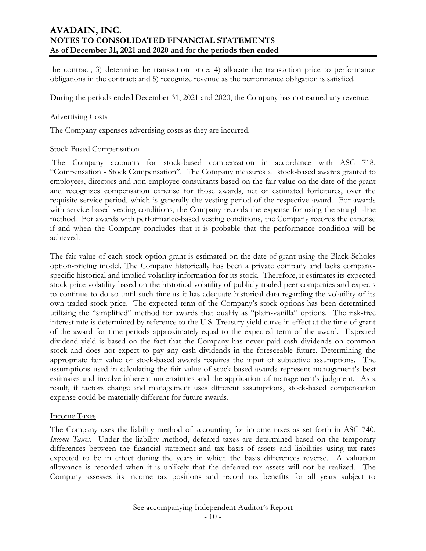the contract; 3) determine the transaction price; 4) allocate the transaction price to performance obligations in the contract; and 5) recognize revenue as the performance obligation is satisfied.

During the periods ended December 31, 2021 and 2020, the Company has not earned any revenue.

#### Advertising Costs

The Company expenses advertising costs as they are incurred.

#### Stock-Based Compensation

The Company accounts for stock-based compensation in accordance with ASC 718, "Compensation - Stock Compensation". The Company measures all stock-based awards granted to employees, directors and non-employee consultants based on the fair value on the date of the grant and recognizes compensation expense for those awards, net of estimated forfeitures, over the requisite service period, which is generally the vesting period of the respective award. For awards with service-based vesting conditions, the Company records the expense for using the straight-line method. For awards with performance-based vesting conditions, the Company records the expense if and when the Company concludes that it is probable that the performance condition will be achieved.

The fair value of each stock option grant is estimated on the date of grant using the Black-Scholes option-pricing model. The Company historically has been a private company and lacks companyspecific historical and implied volatility information for its stock. Therefore, it estimates its expected stock price volatility based on the historical volatility of publicly traded peer companies and expects to continue to do so until such time as it has adequate historical data regarding the volatility of its own traded stock price. The expected term of the Company's stock options has been determined utilizing the "simplified" method for awards that qualify as "plain-vanilla" options. The risk-free interest rate is determined by reference to the U.S. Treasury yield curve in effect at the time of grant of the award for time periods approximately equal to the expected term of the award. Expected dividend yield is based on the fact that the Company has never paid cash dividends on common stock and does not expect to pay any cash dividends in the foreseeable future. Determining the appropriate fair value of stock-based awards requires the input of subjective assumptions. The assumptions used in calculating the fair value of stock-based awards represent management's best estimates and involve inherent uncertainties and the application of management's judgment. As a result, if factors change and management uses different assumptions, stock-based compensation expense could be materially different for future awards.

## Income Taxes

The Company uses the liability method of accounting for income taxes as set forth in ASC 740, *Income Taxes*. Under the liability method, deferred taxes are determined based on the temporary differences between the financial statement and tax basis of assets and liabilities using tax rates expected to be in effect during the years in which the basis differences reverse. A valuation allowance is recorded when it is unlikely that the deferred tax assets will not be realized. The Company assesses its income tax positions and record tax benefits for all years subject to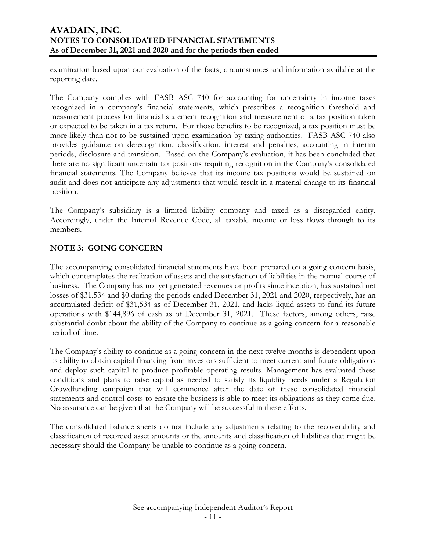examination based upon our evaluation of the facts, circumstances and information available at the reporting date.

The Company complies with FASB ASC 740 for accounting for uncertainty in income taxes recognized in a company's financial statements, which prescribes a recognition threshold and measurement process for financial statement recognition and measurement of a tax position taken or expected to be taken in a tax return. For those benefits to be recognized, a tax position must be more-likely-than-not to be sustained upon examination by taxing authorities. FASB ASC 740 also provides guidance on derecognition, classification, interest and penalties, accounting in interim periods, disclosure and transition. Based on the Company's evaluation, it has been concluded that there are no significant uncertain tax positions requiring recognition in the Company's consolidated financial statements. The Company believes that its income tax positions would be sustained on audit and does not anticipate any adjustments that would result in a material change to its financial position.

The Company's subsidiary is a limited liability company and taxed as a disregarded entity. Accordingly, under the Internal Revenue Code, all taxable income or loss flows through to its members.

## **NOTE 3: GOING CONCERN**

The accompanying consolidated financial statements have been prepared on a going concern basis, which contemplates the realization of assets and the satisfaction of liabilities in the normal course of business. The Company has not yet generated revenues or profits since inception, has sustained net losses of \$31,534 and \$0 during the periods ended December 31, 2021 and 2020, respectively, has an accumulated deficit of \$31,534 as of December 31, 2021, and lacks liquid assets to fund its future operations with \$144,896 of cash as of December 31, 2021. These factors, among others, raise substantial doubt about the ability of the Company to continue as a going concern for a reasonable period of time.

The Company's ability to continue as a going concern in the next twelve months is dependent upon its ability to obtain capital financing from investors sufficient to meet current and future obligations and deploy such capital to produce profitable operating results. Management has evaluated these conditions and plans to raise capital as needed to satisfy its liquidity needs under a Regulation Crowdfunding campaign that will commence after the date of these consolidated financial statements and control costs to ensure the business is able to meet its obligations as they come due. No assurance can be given that the Company will be successful in these efforts.

The consolidated balance sheets do not include any adjustments relating to the recoverability and classification of recorded asset amounts or the amounts and classification of liabilities that might be necessary should the Company be unable to continue as a going concern.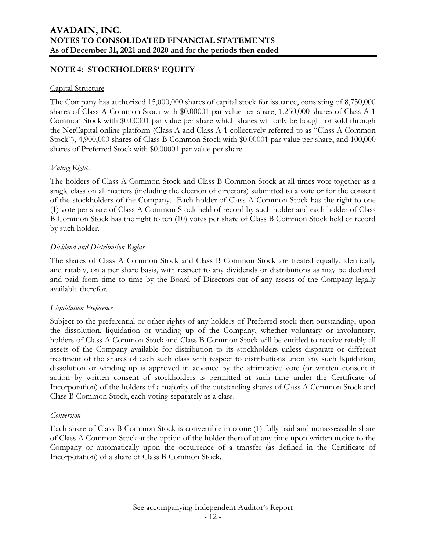# **NOTE 4: STOCKHOLDERS' EQUITY**

#### Capital Structure

The Company has authorized 15,000,000 shares of capital stock for issuance, consisting of 8,750,000 shares of Class A Common Stock with \$0.00001 par value per share, 1,250,000 shares of Class A-1 Common Stock with \$0.00001 par value per share which shares will only be bought or sold through the NetCapital online platform (Class A and Class A-1 collectively referred to as "Class A Common Stock"), 4,900,000 shares of Class B Common Stock with \$0.00001 par value per share, and 100,000 shares of Preferred Stock with \$0.00001 par value per share.

## *Voting Rights*

The holders of Class A Common Stock and Class B Common Stock at all times vote together as a single class on all matters (including the election of directors) submitted to a vote or for the consent of the stockholders of the Company. Each holder of Class A Common Stock has the right to one (1) vote per share of Class A Common Stock held of record by such holder and each holder of Class B Common Stock has the right to ten (10) votes per share of Class B Common Stock held of record by such holder.

## *Dividend and Distribution Rights*

The shares of Class A Common Stock and Class B Common Stock are treated equally, identically and ratably, on a per share basis, with respect to any dividends or distributions as may be declared and paid from time to time by the Board of Directors out of any assess of the Company legally available therefor.

## *Liquidation Preference*

Subject to the preferential or other rights of any holders of Preferred stock then outstanding, upon the dissolution, liquidation or winding up of the Company, whether voluntary or involuntary, holders of Class A Common Stock and Class B Common Stock will be entitled to receive ratably all assets of the Company available for distribution to its stockholders unless disparate or different treatment of the shares of each such class with respect to distributions upon any such liquidation, dissolution or winding up is approved in advance by the affirmative vote (or written consent if action by written consent of stockholders is permitted at such time under the Certificate of Incorporation) of the holders of a majority of the outstanding shares of Class A Common Stock and Class B Common Stock, each voting separately as a class.

#### *Conversion*

Each share of Class B Common Stock is convertible into one (1) fully paid and nonassessable share of Class A Common Stock at the option of the holder thereof at any time upon written notice to the Company or automatically upon the occurrence of a transfer (as defined in the Certificate of Incorporation) of a share of Class B Common Stock.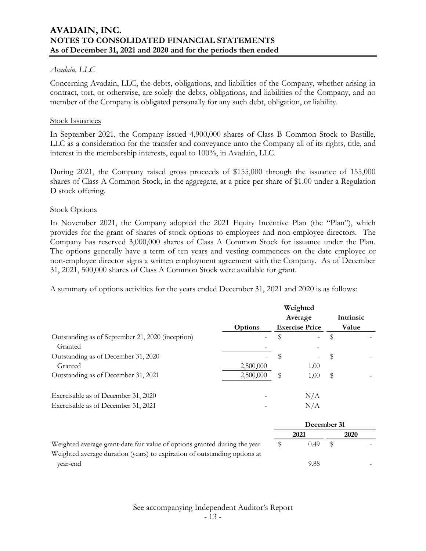## *Avadain, LLC*

Concerning Avadain, LLC, the debts, obligations, and liabilities of the Company, whether arising in contract, tort, or otherwise, are solely the debts, obligations, and liabilities of the Company, and no member of the Company is obligated personally for any such debt, obligation, or liability.

#### Stock Issuances

In September 2021, the Company issued 4,900,000 shares of Class B Common Stock to Bastille, LLC as a consideration for the transfer and conveyance unto the Company all of its rights, title, and interest in the membership interests, equal to 100%, in Avadain, LLC.

During 2021, the Company raised gross proceeds of \$155,000 through the issuance of 155,000 shares of Class A Common Stock, in the aggregate, at a price per share of \$1.00 under a Regulation D stock offering.

## Stock Options

In November 2021, the Company adopted the 2021 Equity Incentive Plan (the "Plan"), which provides for the grant of shares of stock options to employees and non-employee directors. The Company has reserved 3,000,000 shares of Class A Common Stock for issuance under the Plan. The options generally have a term of ten years and vesting commences on the date employee or non-employee director signs a written employment agreement with the Company. As of December 31, 2021, 500,000 shares of Class A Common Stock were available for grant.

A summary of options activities for the years ended December 31, 2021 and 2020 is as follows:

|                                                  | Weighted                 |    |                          |     |           |  |
|--------------------------------------------------|--------------------------|----|--------------------------|-----|-----------|--|
|                                                  | Average                  |    |                          |     | Intrinsic |  |
|                                                  | Options                  |    | <b>Exercise Price</b>    |     | Value     |  |
| Outstanding as of September 21, 2020 (inception) | $\overline{\phantom{0}}$ | \$ | $\overline{\phantom{0}}$ | \$  |           |  |
| Granted                                          |                          |    |                          |     |           |  |
| Outstanding as of December 31, 2020              |                          | S  | $\overline{a}$           | -\$ |           |  |
| Granted                                          | 2,500,000                |    | 1.00                     |     |           |  |
| Outstanding as of December 31, 2021              | 2,500,000                | \$ | 1.00                     | \$  |           |  |
| Exercisable as of December 31, 2020              |                          |    | N/A                      |     |           |  |
| Exercisable as of December 31, 2021              |                          |    | N/A                      |     |           |  |

|                                                                                                                                                        | December 31 |      |  |      |
|--------------------------------------------------------------------------------------------------------------------------------------------------------|-------------|------|--|------|
|                                                                                                                                                        |             | 2021 |  | 2020 |
| Weighted average grant-date fair value of options granted during the year<br>Weighted average duration (years) to expiration of outstanding options at |             | 0.49 |  |      |
| vear-end                                                                                                                                               |             | 9.88 |  |      |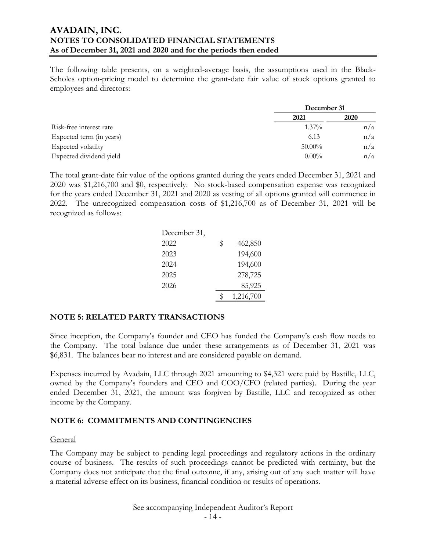The following table presents, on a weighted-average basis, the assumptions used in the Black-Scholes option-pricing model to determine the grant-date fair value of stock options granted to employees and directors:

|                          | December 31 |      |  |
|--------------------------|-------------|------|--|
|                          | 2021        | 2020 |  |
| Risk-free interest rate  | $1.37\%$    | n/a  |  |
| Expected term (in years) | 6.13        | n/a  |  |
| Expected volatilty       | $50.00\%$   | n/a  |  |
| Expected dividend yield  | $0.00\%$    | n/a  |  |

The total grant-date fair value of the options granted during the years ended December 31, 2021 and 2020 was \$1,216,700 and \$0, respectively. No stock-based compensation expense was recognized for the years ended December 31, 2021 and 2020 as vesting of all options granted will commence in 2022. The unrecognized compensation costs of \$1,216,700 as of December 31, 2021 will be recognized as follows:

| December 31, |               |
|--------------|---------------|
| 2022         | \$<br>462,850 |
| 2023         | 194,600       |
| 2024         | 194,600       |
| 2025         | 278,725       |
| 2026         | 85,925        |
|              | 1,216,700     |
|              |               |

# **NOTE 5: RELATED PARTY TRANSACTIONS**

Since inception, the Company's founder and CEO has funded the Company's cash flow needs to the Company. The total balance due under these arrangements as of December 31, 2021 was \$6,831. The balances bear no interest and are considered payable on demand.

Expenses incurred by Avadain, LLC through 2021 amounting to \$4,321 were paid by Bastille, LLC, owned by the Company's founders and CEO and COO/CFO (related parties). During the year ended December 31, 2021, the amount was forgiven by Bastille, LLC and recognized as other income by the Company.

# **NOTE 6: COMMITMENTS AND CONTINGENCIES**

#### **General**

The Company may be subject to pending legal proceedings and regulatory actions in the ordinary course of business. The results of such proceedings cannot be predicted with certainty, but the Company does not anticipate that the final outcome, if any, arising out of any such matter will have a material adverse effect on its business, financial condition or results of operations.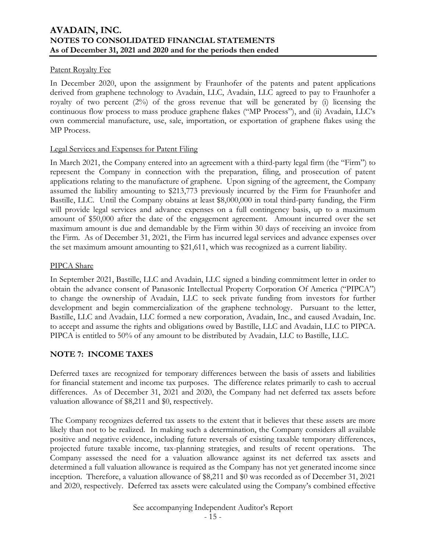#### Patent Royalty Fee

In December 2020, upon the assignment by Fraunhofer of the patents and patent applications derived from graphene technology to Avadain, LLC, Avadain, LLC agreed to pay to Fraunhofer a royalty of two percent (2%) of the gross revenue that will be generated by (i) licensing the continuous flow process to mass produce graphene flakes ("MP Process"), and (ii) Avadain, LLC's own commercial manufacture, use, sale, importation, or exportation of graphene flakes using the MP Process.

## Legal Services and Expenses for Patent Filing

In March 2021, the Company entered into an agreement with a third-party legal firm (the "Firm") to represent the Company in connection with the preparation, filing, and prosecution of patent applications relating to the manufacture of graphene. Upon signing of the agreement, the Company assumed the liability amounting to \$213,773 previously incurred by the Firm for Fraunhofer and Bastille, LLC. Until the Company obtains at least \$8,000,000 in total third-party funding, the Firm will provide legal services and advance expenses on a full contingency basis, up to a maximum amount of \$50,000 after the date of the engagement agreement. Amount incurred over the set maximum amount is due and demandable by the Firm within 30 days of receiving an invoice from the Firm. As of December 31, 2021, the Firm has incurred legal services and advance expenses over the set maximum amount amounting to \$21,611, which was recognized as a current liability.

## PIPCA Share

In September 2021, Bastille, LLC and Avadain, LLC signed a binding commitment letter in order to obtain the advance consent of Panasonic Intellectual Property Corporation Of America ("PIPCA") to change the ownership of Avadain, LLC to seek private funding from investors for further development and begin commercialization of the graphene technology. Pursuant to the letter, Bastille, LLC and Avadain, LLC formed a new corporation, Avadain, Inc., and caused Avadain, Inc. to accept and assume the rights and obligations owed by Bastille, LLC and Avadain, LLC to PIPCA. PIPCA is entitled to 50% of any amount to be distributed by Avadain, LLC to Bastille, LLC.

## **NOTE 7: INCOME TAXES**

Deferred taxes are recognized for temporary differences between the basis of assets and liabilities for financial statement and income tax purposes. The difference relates primarily to cash to accrual differences. As of December 31, 2021 and 2020, the Company had net deferred tax assets before valuation allowance of \$8,211 and \$0, respectively.

The Company recognizes deferred tax assets to the extent that it believes that these assets are more likely than not to be realized. In making such a determination, the Company considers all available positive and negative evidence, including future reversals of existing taxable temporary differences, projected future taxable income, tax-planning strategies, and results of recent operations. The Company assessed the need for a valuation allowance against its net deferred tax assets and determined a full valuation allowance is required as the Company has not yet generated income since inception. Therefore, a valuation allowance of \$8,211 and \$0 was recorded as of December 31, 2021 and 2020, respectively. Deferred tax assets were calculated using the Company's combined effective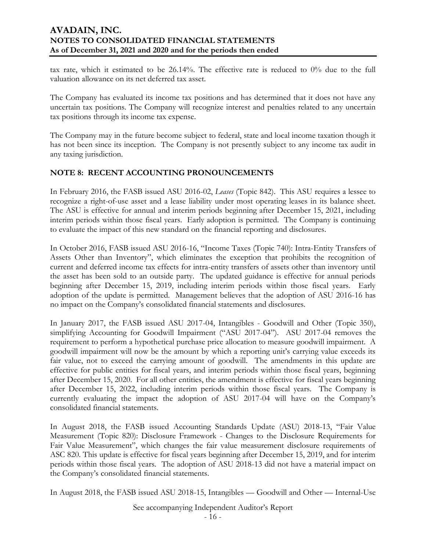tax rate, which it estimated to be 26.14%. The effective rate is reduced to 0% due to the full valuation allowance on its net deferred tax asset.

The Company has evaluated its income tax positions and has determined that it does not have any uncertain tax positions. The Company will recognize interest and penalties related to any uncertain tax positions through its income tax expense.

The Company may in the future become subject to federal, state and local income taxation though it has not been since its inception. The Company is not presently subject to any income tax audit in any taxing jurisdiction.

## **NOTE 8: RECENT ACCOUNTING PRONOUNCEMENTS**

In February 2016, the FASB issued ASU 2016-02, *Leases* (Topic 842). This ASU requires a lessee to recognize a right-of-use asset and a lease liability under most operating leases in its balance sheet. The ASU is effective for annual and interim periods beginning after December 15, 2021, including interim periods within those fiscal years. Early adoption is permitted. The Company is continuing to evaluate the impact of this new standard on the financial reporting and disclosures.

In October 2016, FASB issued ASU 2016-16, "Income Taxes (Topic 740): Intra-Entity Transfers of Assets Other than Inventory", which eliminates the exception that prohibits the recognition of current and deferred income tax effects for intra-entity transfers of assets other than inventory until the asset has been sold to an outside party. The updated guidance is effective for annual periods beginning after December 15, 2019, including interim periods within those fiscal years. Early adoption of the update is permitted. Management believes that the adoption of ASU 2016-16 has no impact on the Company's consolidated financial statements and disclosures.

In January 2017, the FASB issued ASU 2017-04, Intangibles - Goodwill and Other (Topic 350), simplifying Accounting for Goodwill Impairment ("ASU 2017-04"). ASU 2017-04 removes the requirement to perform a hypothetical purchase price allocation to measure goodwill impairment. A goodwill impairment will now be the amount by which a reporting unit's carrying value exceeds its fair value, not to exceed the carrying amount of goodwill. The amendments in this update are effective for public entities for fiscal years, and interim periods within those fiscal years, beginning after December 15, 2020. For all other entities, the amendment is effective for fiscal years beginning after December 15, 2022, including interim periods within those fiscal years. The Company is currently evaluating the impact the adoption of ASU 2017-04 will have on the Company's consolidated financial statements.

In August 2018, the FASB issued Accounting Standards Update (ASU) 2018-13, "Fair Value Measurement (Topic 820): Disclosure Framework - Changes to the Disclosure Requirements for Fair Value Measurement", which changes the fair value measurement disclosure requirements of ASC 820. This update is effective for fiscal years beginning after December 15, 2019, and for interim periods within those fiscal years. The adoption of ASU 2018-13 did not have a material impact on the Company's consolidated financial statements.

In August 2018, the FASB issued ASU 2018-15, Intangibles — Goodwill and Other — Internal-Use

See accompanying Independent Auditor's Report